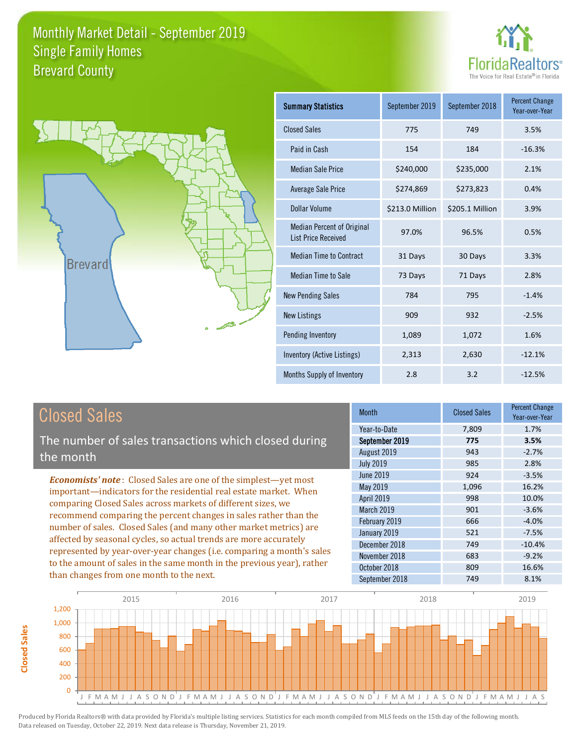



| <b>Summary Statistics</b>                                       | September 2019  | September 2018  | <b>Percent Change</b><br>Year-over-Year |
|-----------------------------------------------------------------|-----------------|-----------------|-----------------------------------------|
| <b>Closed Sales</b>                                             | 775             | 749             | 3.5%                                    |
| Paid in Cash                                                    | 154             | 184             | $-16.3%$                                |
| <b>Median Sale Price</b>                                        | \$240,000       | \$235,000       | 2.1%                                    |
| Average Sale Price                                              | \$274,869       | \$273,823       | 0.4%                                    |
| Dollar Volume                                                   | \$213.0 Million | \$205.1 Million | 3.9%                                    |
| <b>Median Percent of Original</b><br><b>List Price Received</b> | 97.0%           | 96.5%           | 0.5%                                    |
| <b>Median Time to Contract</b>                                  | 31 Days         | 30 Days         | 3.3%                                    |
| <b>Median Time to Sale</b>                                      | 73 Days         | 71 Days         | 2.8%                                    |
| <b>New Pending Sales</b>                                        | 784             | 795             | $-1.4%$                                 |
| <b>New Listings</b>                                             | 909             | 932             | $-2.5%$                                 |
| Pending Inventory                                               | 1,089           | 1,072           | 1.6%                                    |
| Inventory (Active Listings)                                     | 2,313           | 2,630           | $-12.1%$                                |
| Months Supply of Inventory                                      | 2.8             | 3.2             | $-12.5%$                                |

# Closed Sales

The number of sales transactions which closed during the month

*Economists' note* : Closed Sales are one of the simplest—yet most important—indicators for the residential real estate market. When comparing Closed Sales across markets of different sizes, we recommend comparing the percent changes in sales rather than the number of sales. Closed Sales (and many other market metrics) are affected by seasonal cycles, so actual trends are more accurately represented by year-over-year changes (i.e. comparing a month's sales to the amount of sales in the same month in the previous year), rather than changes from one month to the next.

| Month            | <b>Closed Sales</b> | <b>Percent Change</b><br>Year-over-Year |
|------------------|---------------------|-----------------------------------------|
| Year-to-Date     | 7,809               | 1.7%                                    |
| September 2019   | 775                 | 3.5%                                    |
| August 2019      | 943                 | $-2.7%$                                 |
| <b>July 2019</b> | 985                 | 2.8%                                    |
| June 2019        | 924                 | $-3.5%$                                 |
| May 2019         | 1,096               | 16.2%                                   |
| April 2019       | 998                 | 10.0%                                   |
| March 2019       | 901                 | $-3.6%$                                 |
| February 2019    | 666                 | $-4.0%$                                 |
| January 2019     | 521                 | $-7.5%$                                 |
| December 2018    | 749                 | $-10.4%$                                |
| November 2018    | 683                 | $-9.2%$                                 |
| October 2018     | 809                 | 16.6%                                   |
| September 2018   | 749                 | 8.1%                                    |

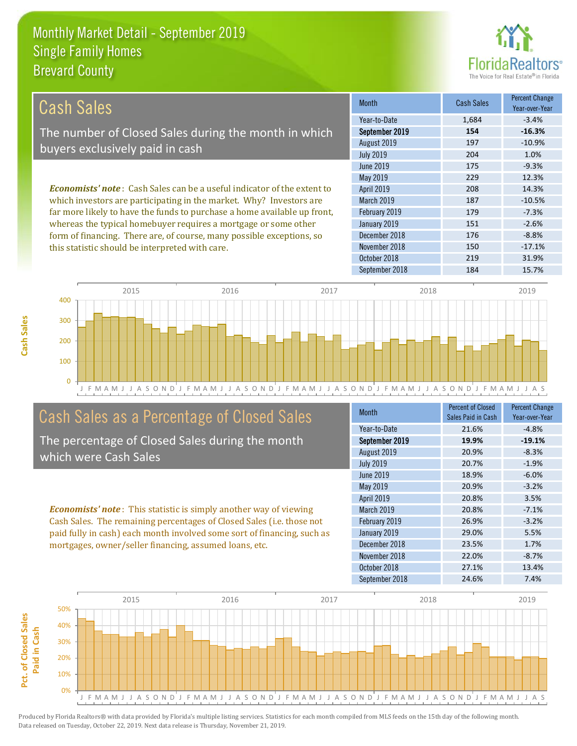

| Cash Sales                                                                     | <b>Month</b>      | <b>Cash Sales</b> | <b>Percent Change</b><br>Year-over-Year |
|--------------------------------------------------------------------------------|-------------------|-------------------|-----------------------------------------|
|                                                                                | Year-to-Date      | 1.684             | $-3.4%$                                 |
| The number of Closed Sales during the month in which                           | September 2019    | 154               | $-16.3%$                                |
| buyers exclusively paid in cash                                                | August 2019       | 197               | $-10.9%$                                |
|                                                                                | <b>July 2019</b>  | 204               | 1.0%                                    |
|                                                                                | June 2019         | 175               | $-9.3%$                                 |
|                                                                                | May 2019          | 229               | 12.3%                                   |
| <b>Economists' note:</b> Cash Sales can be a useful indicator of the extent to | <b>April 2019</b> | 208               | 14.3%                                   |
| which investors are participating in the market. Why? Investors are            | <b>March 2019</b> | 187               | $-10.5%$                                |
| far more likely to have the funds to purchase a home available up front,       | February 2019     | 179               | $-7.3%$                                 |
| whereas the typical homebuyer requires a mortgage or some other                | January 2019      | 151               | $-2.6%$                                 |
| form of financing. There are, of course, many possible exceptions, so          | December 2018     | 176               | $-8.8%$                                 |
| this statistic should be interpreted with care.                                | November 2018     | 150               | $-17.1%$                                |



# Cash Sales as a Percentage of Closed Sales

The percentage of Closed Sales during the month which were Cash Sales

*Economists' note* : This statistic is simply another way of viewing Cash Sales. The remaining percentages of Closed Sales (i.e. those not paid fully in cash) each month involved some sort of financing, such as mortgages, owner/seller financing, assumed loans, etc.

| Month             | <b>Percent of Closed</b><br>Sales Paid in Cash | <b>Percent Change</b><br>Year-over-Year |
|-------------------|------------------------------------------------|-----------------------------------------|
| Year-to-Date      | 21.6%                                          | $-4.8%$                                 |
| September 2019    | 19.9%                                          | $-19.1%$                                |
| August 2019       | 20.9%                                          | $-8.3%$                                 |
| <b>July 2019</b>  | 20.7%                                          | $-1.9%$                                 |
| <b>June 2019</b>  | 18.9%                                          | $-6.0%$                                 |
| May 2019          | 20.9%                                          | $-3.2%$                                 |
| <b>April 2019</b> | 20.8%                                          | 3.5%                                    |
| March 2019        | 20.8%                                          | $-7.1%$                                 |
| February 2019     | 26.9%                                          | $-3.2%$                                 |
| January 2019      | 29.0%                                          | 5.5%                                    |
| December 2018     | 23.5%                                          | 1.7%                                    |
| November 2018     | 22.0%                                          | $-8.7%$                                 |
| October 2018      | 27.1%                                          | 13.4%                                   |
| September 2018    | 24.6%                                          | 7.4%                                    |

October 2018 219 219 31.9%

September 2018 184 15.7%

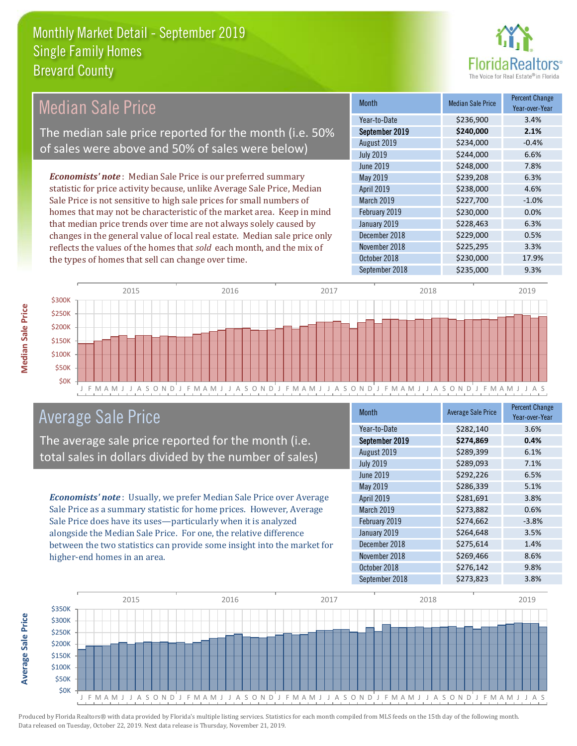

#### *Economists' note* : Median Sale Price is our preferred summary statistic for price activity because, unlike Average Sale Price, Median Sale Price is not sensitive to high sale prices for small numbers of homes that may not be characteristic of the market area. Keep in mind that median price trends over time are not always solely caused by changes in the general value of local real estate. Median sale price only reflects the values of the homes that *sold* each month, and the mix of the types of homes that sell can change over time. September 2018 **\$235,000** 9.3% November 2018 **\$225,295** 3.3% October 2018 **\$230,000** 17.9% January 2019 **\$228,463** 6.3% December 2018 **\$229,000** 0.5% \$248,000 7.8% May 2019 **\$239,208** 6.3% February 2019 **\$230,000** \$230,000 0.0% August 2019 **\$234,000** -0.4% July 2019 **\$244,000** \$244,000 April 2019 **\$238,000** 4.6% March 2019 **\$227,700** -1.0% June 2019 Month Median Sale Price Percent Change Year-over-Year September 2019 **\$240,000 2.1%** Year-to-Date \$236,900 3.4% Median Sale Price The median sale price reported for the month (i.e. 50% of sales were above and 50% of sales were below)



# Average Sale Price

The average sale price reported for the month (i.e. total sales in dollars divided by the number of sales)

*Economists' note* : Usually, we prefer Median Sale Price over Average Sale Price as a summary statistic for home prices. However, Average Sale Price does have its uses—particularly when it is analyzed alongside the Median Sale Price. For one, the relative difference between the two statistics can provide some insight into the market for higher-end homes in an area.

| <b>Month</b>      | <b>Average Sale Price</b> | <b>Percent Change</b><br>Year-over-Year |
|-------------------|---------------------------|-----------------------------------------|
| Year-to-Date      | \$282,140                 | 3.6%                                    |
| September 2019    | \$274,869                 | 0.4%                                    |
| August 2019       | \$289,399                 | 6.1%                                    |
| <b>July 2019</b>  | \$289,093                 | 7.1%                                    |
| <b>June 2019</b>  | \$292,226                 | 6.5%                                    |
| May 2019          | \$286,339                 | 5.1%                                    |
| <b>April 2019</b> | \$281,691                 | 3.8%                                    |
| March 2019        | \$273,882                 | 0.6%                                    |
| February 2019     | \$274,662                 | $-3.8%$                                 |
| January 2019      | \$264,648                 | 3.5%                                    |
| December 2018     | \$275,614                 | 1.4%                                    |
| November 2018     | \$269,466                 | 8.6%                                    |
| October 2018      | \$276,142                 | 9.8%                                    |
| September 2018    | \$273,823                 | 3.8%                                    |



**Median Sale Price** 

**Average Sale Price**

**Average Sale Price**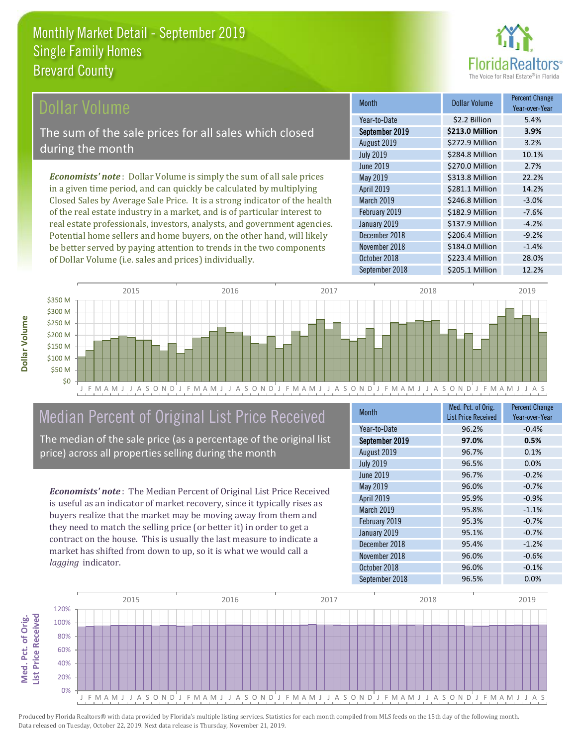

Year-over-Year

### ollar Volume

The sum of the sale prices for all sales which closed during the month

*Economists' note* : Dollar Volume is simply the sum of all sale prices in a given time period, and can quickly be calculated by multiplying Closed Sales by Average Sale Price. It is a strong indicator of the health of the real estate industry in a market, and is of particular interest to real estate professionals, investors, analysts, and government agencies. Potential home sellers and home buyers, on the other hand, will likely be better served by paying attention to trends in the two components of Dollar Volume (i.e. sales and prices) individually.



# Median Percent of Original List Price Received

The median of the sale price (as a percentage of the original list price) across all properties selling during the month

*Economists' note* : The Median Percent of Original List Price Received is useful as an indicator of market recovery, since it typically rises as buyers realize that the market may be moving away from them and they need to match the selling price (or better it) in order to get a contract on the house. This is usually the last measure to indicate a market has shifted from down to up, so it is what we would call a *lagging* indicator.

| <b>Month</b>     | Med. Pct. of Orig.<br><b>List Price Received</b> | <b>Percent Change</b><br>Year-over-Year |
|------------------|--------------------------------------------------|-----------------------------------------|
| Year-to-Date     | 96.2%                                            | $-0.4%$                                 |
| September 2019   | 97.0%                                            | 0.5%                                    |
| August 2019      | 96.7%                                            | 0.1%                                    |
| <b>July 2019</b> | 96.5%                                            | 0.0%                                    |
| <b>June 2019</b> | 96.7%                                            | $-0.2%$                                 |
| May 2019         | 96.0%                                            | $-0.7%$                                 |
| April 2019       | 95.9%                                            | $-0.9%$                                 |
| March 2019       | 95.8%                                            | $-1.1%$                                 |
| February 2019    | 95.3%                                            | $-0.7%$                                 |
| January 2019     | 95.1%                                            | $-0.7%$                                 |
| December 2018    | 95.4%                                            | $-1.2%$                                 |
| November 2018    | 96.0%                                            | $-0.6%$                                 |
| October 2018     | 96.0%                                            | $-0.1%$                                 |
| September 2018   | 96.5%                                            | 0.0%                                    |

January 2019 **\$137.9 Million** -4.2%

June 2019 **\$270.0 Million** 2.7% May 2019 **\$313.8 Million** 22.2% April 2019 **\$281.1 Million** 14.2% March 2019 **\$246.8 Million** -3.0% February 2019 **\$182.9 Million** -7.6%

August 2019 **\$272.9 Million** 3.2% July 2019 **\$284.8 Million** 10.1%

September 2019 **\$213.0 Million 3.9%** Year-to-Date \$2.2 Billion 5.4%

Month **Dollar Volume** Percent Change

October 2018 **\$223.4 Million** 28.0%

September 2018 **\$205.1 Million** 12.2%

\$184.0 Million -1.4%

\$206.4 Million -9.2%

December 2018

November 2018

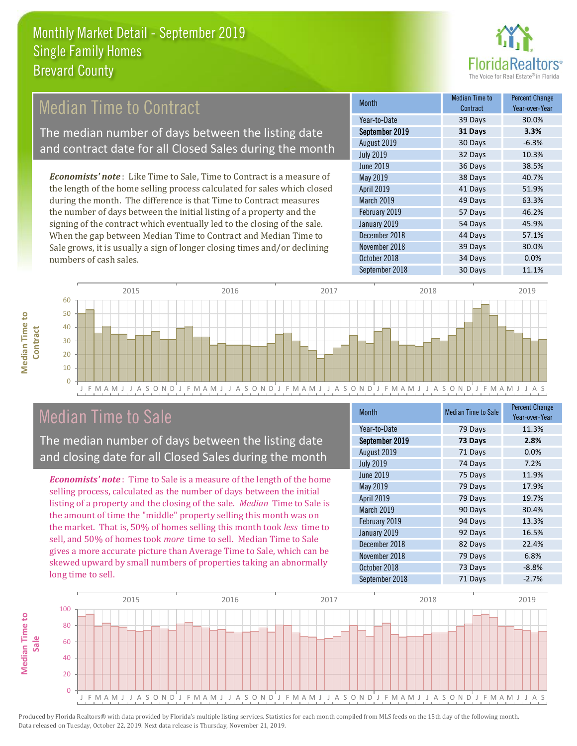

# Median Time to Contract

The median number of days between the listing date and contract date for all Closed Sales during the month

*Economists' note* : Like Time to Sale, Time to Contract is a measure of the length of the home selling process calculated for sales which closed during the month. The difference is that Time to Contract measures the number of days between the initial listing of a property and the signing of the contract which eventually led to the closing of the sale. When the gap between Median Time to Contract and Median Time to Sale grows, it is usually a sign of longer closing times and/or declining numbers of cash sales.

| <b>Month</b>     | Median Time to<br>Contract | <b>Percent Change</b><br>Year-over-Year |
|------------------|----------------------------|-----------------------------------------|
| Year-to-Date     | 39 Days                    | 30.0%                                   |
| September 2019   | 31 Days                    | 3.3%                                    |
| August 2019      | 30 Days                    | $-6.3%$                                 |
| <b>July 2019</b> | 32 Days                    | 10.3%                                   |
| <b>June 2019</b> | 36 Days                    | 38.5%                                   |
| May 2019         | 38 Days                    | 40.7%                                   |
| April 2019       | 41 Days                    | 51.9%                                   |
| March 2019       | 49 Days                    | 63.3%                                   |
| February 2019    | 57 Days                    | 46.2%                                   |
| January 2019     | 54 Days                    | 45.9%                                   |
| December 2018    | 44 Days                    | 57.1%                                   |
| November 2018    | 39 Days                    | 30.0%                                   |
| October 2018     | 34 Days                    | 0.0%                                    |
| September 2018   | 30 Days                    | 11.1%                                   |



# Median Time to Sale

**Median Time to Contract**

**Median Time to** 

The median number of days between the listing date and closing date for all Closed Sales during the month

*Economists' note* : Time to Sale is a measure of the length of the home selling process, calculated as the number of days between the initial listing of a property and the closing of the sale. *Median* Time to Sale is the amount of time the "middle" property selling this month was on the market. That is, 50% of homes selling this month took *less* time to sell, and 50% of homes took *more* time to sell. Median Time to Sale gives a more accurate picture than Average Time to Sale, which can be skewed upward by small numbers of properties taking an abnormally long time to sell.

| <b>Month</b>      | <b>Median Time to Sale</b> | <b>Percent Change</b><br>Year-over-Year |
|-------------------|----------------------------|-----------------------------------------|
| Year-to-Date      | 79 Days                    | 11.3%                                   |
| September 2019    | 73 Days                    | 2.8%                                    |
| August 2019       | 71 Days                    | 0.0%                                    |
| <b>July 2019</b>  | 74 Days                    | 7.2%                                    |
| June 2019         | 75 Days                    | 11.9%                                   |
| May 2019          | 79 Days                    | 17.9%                                   |
| April 2019        | 79 Days                    | 19.7%                                   |
| <b>March 2019</b> | 90 Days                    | 30.4%                                   |
| February 2019     | 94 Days                    | 13.3%                                   |
| January 2019      | 92 Days                    | 16.5%                                   |
| December 2018     | 82 Days                    | 22.4%                                   |
| November 2018     | 79 Days                    | 6.8%                                    |
| October 2018      | 73 Days                    | $-8.8%$                                 |
| September 2018    | 71 Days                    | $-2.7%$                                 |

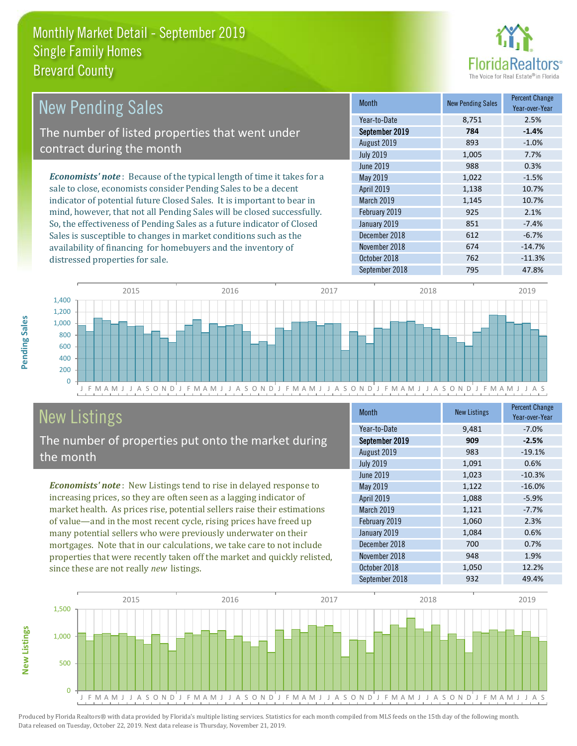

| <b>New Pending Sales</b>                                                      | <b>Month</b>      | <b>New Pending Sales</b> | <b>Percent Change</b><br>Year-over-Year |
|-------------------------------------------------------------------------------|-------------------|--------------------------|-----------------------------------------|
|                                                                               | Year-to-Date      | 8.751                    | 2.5%                                    |
| The number of listed properties that went under                               | September 2019    | 784                      | $-1.4%$                                 |
| contract during the month                                                     | August 2019       | 893                      | $-1.0%$                                 |
|                                                                               | <b>July 2019</b>  | 1,005                    | 7.7%                                    |
|                                                                               | June 2019         | 988                      | 0.3%                                    |
| <b>Economists' note:</b> Because of the typical length of time it takes for a | May 2019          | 1,022                    | $-1.5%$                                 |
| sale to close, economists consider Pending Sales to be a decent               | <b>April 2019</b> | 1,138                    | 10.7%                                   |
| indicator of potential future Closed Sales. It is important to bear in        | <b>March 2019</b> | 1,145                    | 10.7%                                   |
| mind, however, that not all Pending Sales will be closed successfully.        | February 2019     | 925                      | 2.1%                                    |
| So, the effectiveness of Pending Sales as a future indicator of Closed        | January 2019      | 851                      | $-7.4%$                                 |
| Sales is susceptible to changes in market conditions such as the              | December 2018     | 612                      | $-6.7%$                                 |
| availability of financing for homebuyers and the inventory of                 | November 2018     | 674                      | $-14.7%$                                |



# New Listings

distressed properties for sale.

The number of properties put onto the market during the month

*Economists' note* : New Listings tend to rise in delayed response to increasing prices, so they are often seen as a lagging indicator of market health. As prices rise, potential sellers raise their estimations of value—and in the most recent cycle, rising prices have freed up many potential sellers who were previously underwater on their mortgages. Note that in our calculations, we take care to not include properties that were recently taken off the market and quickly relisted, since these are not really *new* listings.

| <b>Month</b>     | <b>New Listings</b> | <b>Percent Change</b><br>Year-over-Year |
|------------------|---------------------|-----------------------------------------|
| Year-to-Date     | 9,481               | $-7.0%$                                 |
| September 2019   | 909                 | $-2.5%$                                 |
| August 2019      | 983                 | $-19.1%$                                |
| <b>July 2019</b> | 1,091               | 0.6%                                    |
| <b>June 2019</b> | 1,023               | $-10.3%$                                |
| <b>May 2019</b>  | 1,122               | $-16.0%$                                |
| April 2019       | 1,088               | $-5.9%$                                 |
| March 2019       | 1,121               | $-7.7%$                                 |
| February 2019    | 1,060               | 2.3%                                    |
| January 2019     | 1,084               | 0.6%                                    |
| December 2018    | 700                 | 0.7%                                    |
| November 2018    | 948                 | 1.9%                                    |
| October 2018     | 1,050               | 12.2%                                   |
| September 2018   | 932                 | 49.4%                                   |

October 2018 762 -11.3%



Produced by Florida Realtors® with data provided by Florida's multiple listing services. Statistics for each month compiled from MLS feeds on the 15th day of the following month. Data released on Tuesday, October 22, 2019. Next data release is Thursday, November 21, 2019.

**New Listings**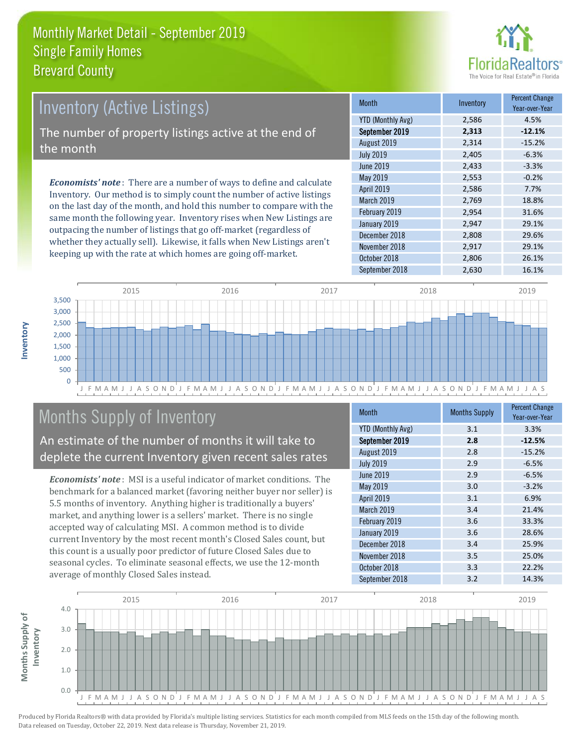

### *Economists' note* : There are a number of ways to define and calculate Inventory. Our method is to simply count the number of active listings on the last day of the month, and hold this number to compare with the Inventory (Active Listings) The number of property listings active at the end of the month

same month the following year. Inventory rises when New Listings are outpacing the number of listings that go off-market (regardless of whether they actually sell). Likewise, it falls when New Listings aren't keeping up with the rate at which homes are going off-market.

| Month                    | Inventory | <b>Percent Change</b><br>Year-over-Year |
|--------------------------|-----------|-----------------------------------------|
| <b>YTD (Monthly Avg)</b> | 2,586     | 4.5%                                    |
| September 2019           | 2,313     | $-12.1%$                                |
| August 2019              | 2,314     | $-15.2%$                                |
| <b>July 2019</b>         | 2,405     | $-6.3%$                                 |
| <b>June 2019</b>         | 2,433     | $-3.3%$                                 |
| May 2019                 | 2,553     | $-0.2%$                                 |
| April 2019               | 2,586     | 7.7%                                    |
| March 2019               | 2,769     | 18.8%                                   |
| February 2019            | 2,954     | 31.6%                                   |
| January 2019             | 2,947     | 29.1%                                   |
| December 2018            | 2,808     | 29.6%                                   |
| November 2018            | 2,917     | 29.1%                                   |
| October 2018             | 2,806     | 26.1%                                   |
| September 2018           | 2,630     | 16.1%                                   |



# Months Supply of Inventory

An estimate of the number of months it will take to deplete the current Inventory given recent sales rates

*Economists' note* : MSI is a useful indicator of market conditions. The benchmark for a balanced market (favoring neither buyer nor seller) is 5.5 months of inventory. Anything higher is traditionally a buyers' market, and anything lower is a sellers' market. There is no single accepted way of calculating MSI. A common method is to divide current Inventory by the most recent month's Closed Sales count, but this count is a usually poor predictor of future Closed Sales due to seasonal cycles. To eliminate seasonal effects, we use the 12-month average of monthly Closed Sales instead.

| <b>Month</b>             | <b>Months Supply</b> | <b>Percent Change</b><br>Year-over-Year |
|--------------------------|----------------------|-----------------------------------------|
| <b>YTD (Monthly Avg)</b> | 3.1                  | 3.3%                                    |
| September 2019           | 2.8                  | $-12.5%$                                |
| August 2019              | 2.8                  | $-15.2%$                                |
| <b>July 2019</b>         | 2.9                  | $-6.5%$                                 |
| June 2019                | 2.9                  | $-6.5%$                                 |
| <b>May 2019</b>          | 3.0                  | $-3.2%$                                 |
| April 2019               | 3.1                  | 6.9%                                    |
| <b>March 2019</b>        | 3.4                  | 21.4%                                   |
| February 2019            | 3.6                  | 33.3%                                   |
| January 2019             | 3.6                  | 28.6%                                   |
| December 2018            | 3.4                  | 25.9%                                   |
| November 2018            | 3.5                  | 25.0%                                   |
| October 2018             | 3.3                  | 22.2%                                   |
| September 2018           | 3.2                  | 14.3%                                   |



**Inventory**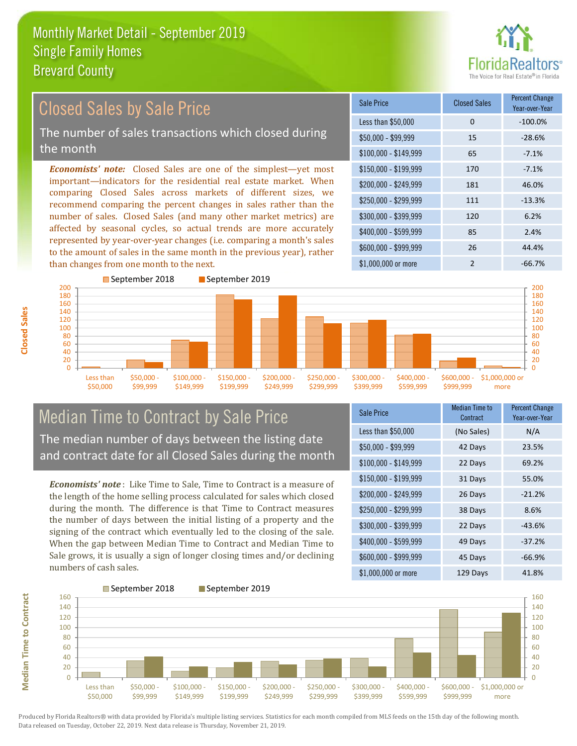

#### $$100,000 - $149,999$  65 -7.1% Sale Price Closed Sales Percent Change Year-over-Year Less than \$50,000 0 0 -100.0% \$50,000 - \$99,999 15 -28.6% \$150,000 - \$199,999 170 -7.1% \$200,000 - \$249,999 181 46.0% \$400,000 - \$599,999 85 2.4% \$600,000 - \$999,999 26 44.4% *Economists' note:* Closed Sales are one of the simplest—yet most important—indicators for the residential real estate market. When comparing Closed Sales across markets of different sizes, we recommend comparing the percent changes in sales rather than the number of sales. Closed Sales (and many other market metrics) are affected by seasonal cycles, so actual trends are more accurately represented by year-over-year changes (i.e. comparing a month's sales to the amount of sales in the same month in the previous year), rather than changes from one month to the next. \$1,000,000 or more 2  $-66.7\%$  $$250,000 - $299,999$  111  $-13.3\%$ \$300,000 - \$399,999 120 6.2% September 2018 September 2019 Closed Sales by Sale Price The number of sales transactions which closed during the month



### Median Time to Contract by Sale Price The median number of days between the listing date and contract date for all Closed Sales during the month

*Economists' note* : Like Time to Sale, Time to Contract is a measure of the length of the home selling process calculated for sales which closed during the month. The difference is that Time to Contract measures the number of days between the initial listing of a property and the signing of the contract which eventually led to the closing of the sale. When the gap between Median Time to Contract and Median Time to Sale grows, it is usually a sign of longer closing times and/or declining numbers of cash sales.

| Sale Price            | <b>Median Time to</b><br>Contract | <b>Percent Change</b><br>Year-over-Year |
|-----------------------|-----------------------------------|-----------------------------------------|
| Less than \$50,000    | (No Sales)                        | N/A                                     |
| $$50,000 - $99,999$   | 42 Days                           | 23.5%                                   |
| $$100,000 - $149,999$ | 22 Days                           | 69.2%                                   |
| $$150,000 - $199,999$ | 31 Days                           | 55.0%                                   |
| \$200,000 - \$249,999 | 26 Days                           | $-21.2%$                                |
| \$250,000 - \$299,999 | 38 Days                           | 8.6%                                    |
| \$300,000 - \$399,999 | 22 Days                           | $-43.6%$                                |
| \$400,000 - \$599,999 | 49 Days                           | $-37.2%$                                |
| \$600,000 - \$999,999 | 45 Days                           | $-66.9%$                                |
| \$1,000,000 or more   | 129 Days                          | 41.8%                                   |



**Median Time to Contract**

**Median Time to Contract**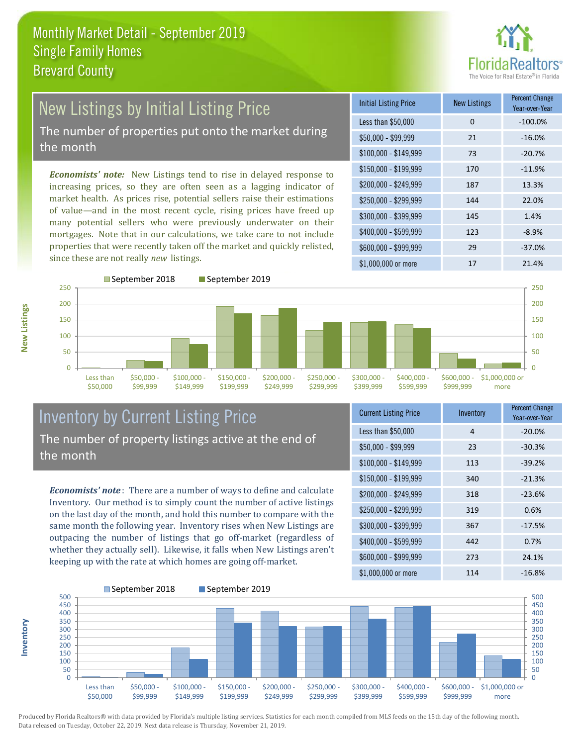

# New Listings by Initial Listing Price The number of properties put onto the market during

the month

*Economists' note:* New Listings tend to rise in delayed response to increasing prices, so they are often seen as a lagging indicator of market health. As prices rise, potential sellers raise their estimations of value—and in the most recent cycle, rising prices have freed up many potential sellers who were previously underwater on their mortgages. Note that in our calculations, we take care to not include properties that were recently taken off the market and quickly relisted, since these are not really *new* listings.

| <b>Initial Listing Price</b> | <b>New Listings</b> | <b>Percent Change</b><br>Year-over-Year |
|------------------------------|---------------------|-----------------------------------------|
| Less than \$50,000           | 0                   | $-100.0%$                               |
| $$50,000 - $99,999$          | 21                  | $-16.0%$                                |
| $$100,000 - $149,999$        | 73                  | $-20.7%$                                |
| $$150,000 - $199,999$        | 170                 | $-11.9%$                                |
| \$200,000 - \$249,999        | 187                 | 13.3%                                   |
| \$250,000 - \$299,999        | 144                 | 22.0%                                   |
| \$300,000 - \$399,999        | 145                 | 1.4%                                    |
| \$400,000 - \$599,999        | 123                 | $-8.9\%$                                |
| \$600,000 - \$999,999        | 29                  | $-37.0%$                                |
| $$1,000,000$ or more         | 17                  | 21.4%                                   |



#### Inventory by Current Listing Price The number of property listings active at the end of the month

*Economists' note* : There are a number of ways to define and calculate Inventory. Our method is to simply count the number of active listings on the last day of the month, and hold this number to compare with the same month the following year. Inventory rises when New Listings are outpacing the number of listings that go off-market (regardless of whether they actually sell). Likewise, it falls when New Listings aren't keeping up with the rate at which homes are going off-market.

| <b>Current Listing Price</b> | Inventory | <b>Percent Change</b><br>Year-over-Year |
|------------------------------|-----------|-----------------------------------------|
| Less than \$50,000           | 4         | $-20.0%$                                |
| $$50,000 - $99,999$          | 23        | $-30.3%$                                |
| $$100,000 - $149,999$        | 113       | $-39.2%$                                |
| $$150,000 - $199,999$        | 340       | $-21.3%$                                |
| \$200,000 - \$249,999        | 318       | $-23.6%$                                |
| \$250,000 - \$299,999        | 319       | 0.6%                                    |
| \$300,000 - \$399,999        | 367       | $-17.5%$                                |
| \$400,000 - \$599,999        | 442       | 0.7%                                    |
| \$600,000 - \$999,999        | 273       | 24.1%                                   |
| \$1,000,000 or more          | 114       | $-16.8%$                                |



Produced by Florida Realtors® with data provided by Florida's multiple listing services. Statistics for each month compiled from MLS feeds on the 15th day of the following month. Data released on Tuesday, October 22, 2019. Next data release is Thursday, November 21, 2019.

**Inventory**